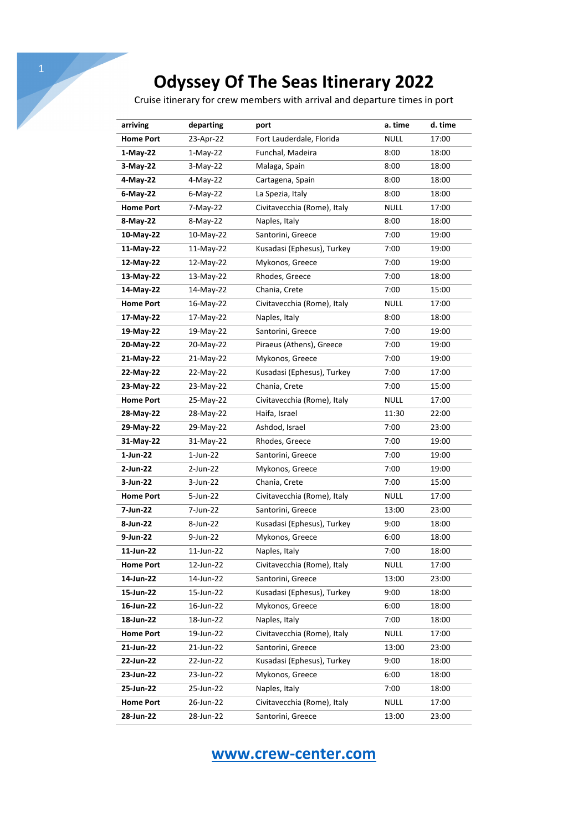Cruise itinerary for crew members with arrival and departure times in port

| arriving         | departing   | port                        | a. time     | d. time |
|------------------|-------------|-----------------------------|-------------|---------|
| <b>Home Port</b> | 23-Apr-22   | Fort Lauderdale, Florida    | <b>NULL</b> | 17:00   |
| $1-May-22$       | $1-May-22$  | Funchal, Madeira            | 8:00        | 18:00   |
| $3-May-22$       | $3-May-22$  | Malaga, Spain               | 8:00        | 18:00   |
| 4-May-22         | 4-May-22    | Cartagena, Spain            | 8:00        | 18:00   |
| 6-May-22         | $6$ -May-22 | La Spezia, Italy            | 8:00        | 18:00   |
| <b>Home Port</b> | 7-May-22    | Civitavecchia (Rome), Italy | <b>NULL</b> | 17:00   |
| 8-May-22         | 8-May-22    | Naples, Italy               | 8:00        | 18:00   |
| 10-May-22        | 10-May-22   | Santorini, Greece           | 7:00        | 19:00   |
| 11-May-22        | 11-May-22   | Kusadasi (Ephesus), Turkey  | 7:00        | 19:00   |
| 12-May-22        | 12-May-22   | Mykonos, Greece             | 7:00        | 19:00   |
| 13-May-22        | 13-May-22   | Rhodes, Greece              | 7:00        | 18:00   |
| 14-May-22        | 14-May-22   | Chania, Crete               | 7:00        | 15:00   |
| <b>Home Port</b> | 16-May-22   | Civitavecchia (Rome), Italy | <b>NULL</b> | 17:00   |
| 17-May-22        | 17-May-22   | Naples, Italy               | 8:00        | 18:00   |
| 19-May-22        | 19-May-22   | Santorini, Greece           | 7:00        | 19:00   |
| 20-May-22        | 20-May-22   | Piraeus (Athens), Greece    | 7:00        | 19:00   |
| 21-May-22        | 21-May-22   | Mykonos, Greece             | 7:00        | 19:00   |
| 22-May-22        | 22-May-22   | Kusadasi (Ephesus), Turkey  | 7:00        | 17:00   |
| 23-May-22        | 23-May-22   | Chania, Crete               | 7:00        | 15:00   |
| <b>Home Port</b> | 25-May-22   | Civitavecchia (Rome), Italy | <b>NULL</b> | 17:00   |
| 28-May-22        | 28-May-22   | Haifa, Israel               | 11:30       | 22:00   |
| 29-May-22        | 29-May-22   | Ashdod, Israel              | 7:00        | 23:00   |
| 31-May-22        | 31-May-22   | Rhodes, Greece              | 7:00        | 19:00   |
| 1-Jun-22         | $1$ -Jun-22 | Santorini, Greece           | 7:00        | 19:00   |
| 2-Jun-22         | 2-Jun-22    | Mykonos, Greece             | 7:00        | 19:00   |
| 3-Jun-22         | 3-Jun-22    | Chania, Crete               | 7:00        | 15:00   |
| <b>Home Port</b> | 5-Jun-22    | Civitavecchia (Rome), Italy | <b>NULL</b> | 17:00   |
| 7-Jun-22         | 7-Jun-22    | Santorini, Greece           | 13:00       | 23:00   |
| 8-Jun-22         | 8-Jun-22    | Kusadasi (Ephesus), Turkey  | 9:00        | 18:00   |
| 9-Jun-22         | 9-Jun-22    | Mykonos, Greece             | 6:00        | 18:00   |
| 11-Jun-22        | 11-Jun-22   | Naples, Italy               | 7:00        | 18:00   |
| <b>Home Port</b> | 12-Jun-22   | Civitavecchia (Rome), Italy | <b>NULL</b> | 17:00   |
| 14-Jun-22        | 14-Jun-22   | Santorini, Greece           | 13:00       | 23:00   |
| 15-Jun-22        | 15-Jun-22   | Kusadasi (Ephesus), Turkey  | 9:00        | 18:00   |
| 16-Jun-22        | 16-Jun-22   | Mykonos, Greece             | 6:00        | 18:00   |
| 18-Jun-22        | 18-Jun-22   | Naples, Italy               | 7:00        | 18:00   |
| <b>Home Port</b> | 19-Jun-22   | Civitavecchia (Rome), Italy | <b>NULL</b> | 17:00   |
| 21-Jun-22        | 21-Jun-22   | Santorini, Greece           | 13:00       | 23:00   |
| 22-Jun-22        | 22-Jun-22   | Kusadasi (Ephesus), Turkey  | 9:00        | 18:00   |
| 23-Jun-22        | 23-Jun-22   | Mykonos, Greece             | 6:00        | 18:00   |
| 25-Jun-22        | 25-Jun-22   | Naples, Italy               | 7:00        | 18:00   |
| <b>Home Port</b> | 26-Jun-22   | Civitavecchia (Rome), Italy | <b>NULL</b> | 17:00   |
| 28-Jun-22        | 28-Jun-22   | Santorini, Greece           | 13:00       | 23:00   |

## **www.crew-center.com**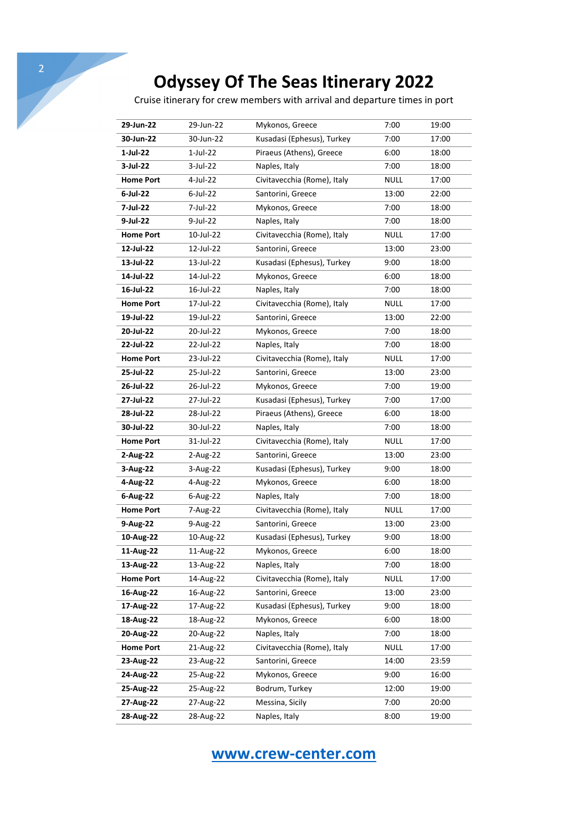Cruise itinerary for crew members with arrival and departure times in port

| 29-Jun-22        | 29-Jun-22 | Mykonos, Greece             | 7:00        | 19:00 |
|------------------|-----------|-----------------------------|-------------|-------|
| 30-Jun-22        | 30-Jun-22 | Kusadasi (Ephesus), Turkey  | 7:00        | 17:00 |
| $1$ -Jul-22      | 1-Jul-22  | Piraeus (Athens), Greece    | 6:00        | 18:00 |
| 3-Jul-22         | 3-Jul-22  | Naples, Italy               | 7:00        | 18:00 |
| <b>Home Port</b> | 4-Jul-22  | Civitavecchia (Rome), Italy | <b>NULL</b> | 17:00 |
| 6-Jul-22         | 6-Jul-22  | Santorini, Greece           | 13:00       | 22:00 |
| 7-Jul-22         | 7-Jul-22  | Mykonos, Greece             | 7:00        | 18:00 |
| 9-Jul-22         | 9-Jul-22  | Naples, Italy               | 7:00        | 18:00 |
| <b>Home Port</b> | 10-Jul-22 | Civitavecchia (Rome), Italy | <b>NULL</b> | 17:00 |
| 12-Jul-22        | 12-Jul-22 | Santorini, Greece           | 13:00       | 23:00 |
| 13-Jul-22        | 13-Jul-22 | Kusadasi (Ephesus), Turkey  | 9:00        | 18:00 |
| 14-Jul-22        | 14-Jul-22 | Mykonos, Greece             | 6:00        | 18:00 |
| 16-Jul-22        | 16-Jul-22 | Naples, Italy               | 7:00        | 18:00 |
| <b>Home Port</b> | 17-Jul-22 | Civitavecchia (Rome), Italy | <b>NULL</b> | 17:00 |
| 19-Jul-22        | 19-Jul-22 | Santorini, Greece           | 13:00       | 22:00 |
| 20-Jul-22        | 20-Jul-22 | Mykonos, Greece             | 7:00        | 18:00 |
| 22-Jul-22        | 22-Jul-22 | Naples, Italy               | 7:00        | 18:00 |
| <b>Home Port</b> | 23-Jul-22 | Civitavecchia (Rome), Italy | <b>NULL</b> | 17:00 |
| 25-Jul-22        | 25-Jul-22 | Santorini, Greece           | 13:00       | 23:00 |
| 26-Jul-22        | 26-Jul-22 | Mykonos, Greece             | 7:00        | 19:00 |
| 27-Jul-22        | 27-Jul-22 | Kusadasi (Ephesus), Turkey  | 7:00        | 17:00 |
| 28-Jul-22        | 28-Jul-22 | Piraeus (Athens), Greece    | 6:00        | 18:00 |
| 30-Jul-22        | 30-Jul-22 | Naples, Italy               | 7:00        | 18:00 |
| <b>Home Port</b> | 31-Jul-22 | Civitavecchia (Rome), Italy | <b>NULL</b> | 17:00 |
| 2-Aug-22         | 2-Aug-22  | Santorini, Greece           | 13:00       | 23:00 |
| 3-Aug-22         | 3-Aug-22  | Kusadasi (Ephesus), Turkey  | 9:00        | 18:00 |
| 4-Aug-22         | 4-Aug-22  | Mykonos, Greece             | 6:00        | 18:00 |
| 6-Aug-22         | 6-Aug-22  | Naples, Italy               | 7:00        | 18:00 |
| <b>Home Port</b> | 7-Aug-22  | Civitavecchia (Rome), Italy | <b>NULL</b> | 17:00 |
| 9-Aug-22         | 9-Aug-22  | Santorini, Greece           | 13:00       | 23:00 |
| 10-Aug-22        | 10-Aug-22 | Kusadasi (Ephesus), Turkey  | 9:00        | 18:00 |
| 11-Aug-22        | 11-Aug-22 | Mykonos, Greece             | 6:00        | 18:00 |
| 13-Aug-22        | 13-Aug-22 | Naples, Italy               | 7:00        | 18:00 |
| <b>Home Port</b> | 14-Aug-22 | Civitavecchia (Rome), Italy | <b>NULL</b> | 17:00 |
| 16-Aug-22        | 16-Aug-22 | Santorini, Greece           | 13:00       | 23:00 |
| 17-Aug-22        | 17-Aug-22 | Kusadasi (Ephesus), Turkey  | 9:00        | 18:00 |
| 18-Aug-22        | 18-Aug-22 | Mykonos, Greece             | 6:00        | 18:00 |
| 20-Aug-22        | 20-Aug-22 | Naples, Italy               | 7:00        | 18:00 |
| <b>Home Port</b> | 21-Aug-22 | Civitavecchia (Rome), Italy | <b>NULL</b> | 17:00 |
| 23-Aug-22        | 23-Aug-22 | Santorini, Greece           | 14:00       | 23:59 |
| 24-Aug-22        | 25-Aug-22 | Mykonos, Greece             | 9:00        | 16:00 |
| 25-Aug-22        | 25-Aug-22 | Bodrum, Turkey              | 12:00       | 19:00 |
| 27-Aug-22        | 27-Aug-22 | Messina, Sicily             | 7:00        | 20:00 |
| 28-Aug-22        | 28-Aug-22 | Naples, Italy               | 8:00        | 19:00 |

**www.crew-center.com**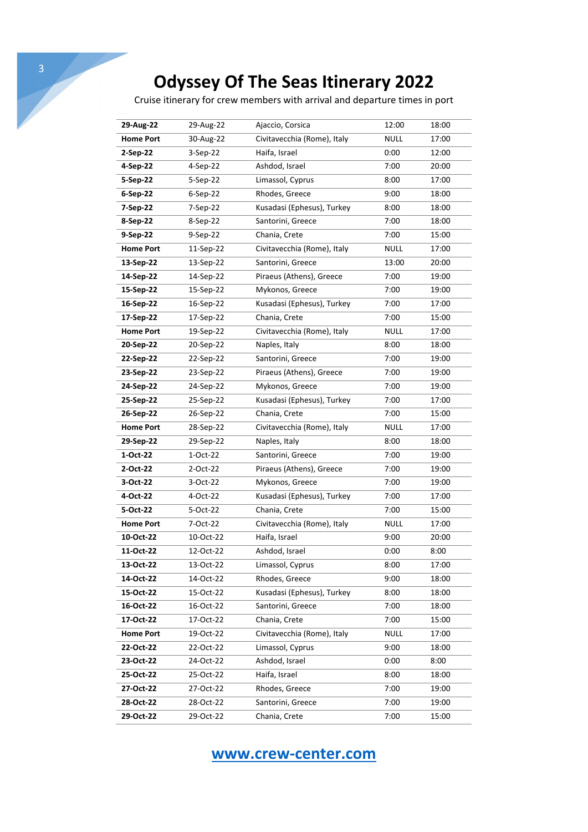Cruise itinerary for crew members with arrival and departure times in port

| 29-Aug-22        | 29-Aug-22 | Ajaccio, Corsica            | 12:00       | 18:00 |
|------------------|-----------|-----------------------------|-------------|-------|
| <b>Home Port</b> | 30-Aug-22 | Civitavecchia (Rome), Italy | NULL        | 17:00 |
| 2-Sep-22         | 3-Sep-22  | Haifa, Israel               | 0:00        | 12:00 |
| 4-Sep-22         | 4-Sep-22  | Ashdod, Israel              | 7:00        | 20:00 |
| 5-Sep-22         | 5-Sep-22  | Limassol, Cyprus            | 8:00        | 17:00 |
| 6-Sep-22         | 6-Sep-22  | Rhodes, Greece              | 9:00        | 18:00 |
| 7-Sep-22         | 7-Sep-22  | Kusadasi (Ephesus), Turkey  | 8:00        | 18:00 |
| 8-Sep-22         | 8-Sep-22  | Santorini, Greece           | 7:00        | 18:00 |
| 9-Sep-22         | 9-Sep-22  | Chania, Crete               | 7:00        | 15:00 |
| <b>Home Port</b> | 11-Sep-22 | Civitavecchia (Rome), Italy | <b>NULL</b> | 17:00 |
| 13-Sep-22        | 13-Sep-22 | Santorini, Greece           | 13:00       | 20:00 |
| 14-Sep-22        | 14-Sep-22 | Piraeus (Athens), Greece    | 7:00        | 19:00 |
| 15-Sep-22        | 15-Sep-22 | Mykonos, Greece             | 7:00        | 19:00 |
| 16-Sep-22        | 16-Sep-22 | Kusadasi (Ephesus), Turkey  | 7:00        | 17:00 |
| 17-Sep-22        | 17-Sep-22 | Chania, Crete               | 7:00        | 15:00 |
| <b>Home Port</b> | 19-Sep-22 | Civitavecchia (Rome), Italy | NULL        | 17:00 |
| 20-Sep-22        | 20-Sep-22 | Naples, Italy               | 8:00        | 18:00 |
| 22-Sep-22        | 22-Sep-22 | Santorini, Greece           | 7:00        | 19:00 |
| 23-Sep-22        | 23-Sep-22 | Piraeus (Athens), Greece    | 7:00        | 19:00 |
| 24-Sep-22        | 24-Sep-22 | Mykonos, Greece             | 7:00        | 19:00 |
| 25-Sep-22        | 25-Sep-22 | Kusadasi (Ephesus), Turkey  | 7:00        | 17:00 |
| 26-Sep-22        | 26-Sep-22 | Chania, Crete               | 7:00        | 15:00 |
| <b>Home Port</b> | 28-Sep-22 | Civitavecchia (Rome), Italy | <b>NULL</b> | 17:00 |
| 29-Sep-22        | 29-Sep-22 | Naples, Italy               | 8:00        | 18:00 |
| 1-Oct-22         | 1-Oct-22  | Santorini, Greece           | 7:00        | 19:00 |
| 2-Oct-22         | 2-Oct-22  | Piraeus (Athens), Greece    | 7:00        | 19:00 |
| 3-Oct-22         | 3-Oct-22  | Mykonos, Greece             | 7:00        | 19:00 |
| 4-Oct-22         | 4-Oct-22  | Kusadasi (Ephesus), Turkey  | 7:00        | 17:00 |
| 5-Oct-22         | 5-Oct-22  | Chania, Crete               | 7:00        | 15:00 |
| <b>Home Port</b> | 7-Oct-22  | Civitavecchia (Rome), Italy | NULL        | 17:00 |
| 10-Oct-22        | 10-Oct-22 | Haifa, Israel               | 9:00        | 20:00 |
| 11-Oct-22        | 12-Oct-22 | Ashdod, Israel              | 0:00        | 8:00  |
| 13-Oct-22        | 13-Oct-22 | Limassol, Cyprus            | 8:00        | 17:00 |
| 14-Oct-22        | 14-Oct-22 | Rhodes, Greece              | 9:00        | 18:00 |
| 15-Oct-22        | 15-Oct-22 | Kusadasi (Ephesus), Turkey  | 8:00        | 18:00 |
| 16-Oct-22        | 16-Oct-22 | Santorini, Greece           | 7:00        | 18:00 |
| 17-Oct-22        | 17-Oct-22 | Chania, Crete               | 7:00        | 15:00 |
| <b>Home Port</b> | 19-Oct-22 | Civitavecchia (Rome), Italy | <b>NULL</b> | 17:00 |
| 22-Oct-22        | 22-Oct-22 | Limassol, Cyprus            | 9:00        | 18:00 |
| 23-Oct-22        | 24-Oct-22 | Ashdod, Israel              | 0:00        | 8:00  |
| 25-Oct-22        | 25-Oct-22 | Haifa, Israel               | 8:00        | 18:00 |
| 27-Oct-22        | 27-Oct-22 | Rhodes, Greece              | 7:00        | 19:00 |
| 28-Oct-22        | 28-Oct-22 | Santorini, Greece           | 7:00        | 19:00 |
| 29-Oct-22        | 29-Oct-22 | Chania, Crete               | 7:00        | 15:00 |

**www.crew-center.com**